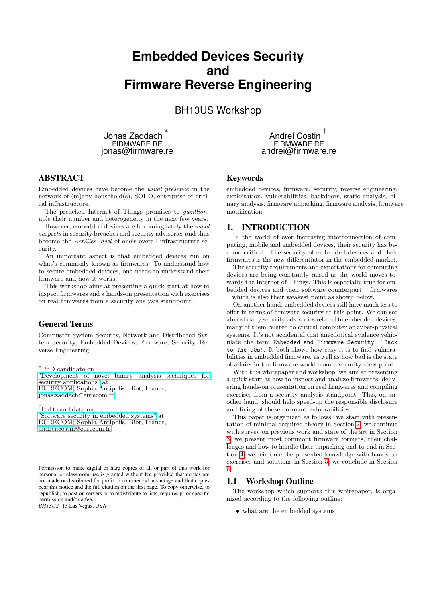# **Embedded Devices Security and Firmware Reverse Engineering**

# BH13US Workshop

Jonas Zaddach ∗ FIRMWARE.RE jonas@firmware.re

Andrei Costin † FIRMWARE.RE andrei@firmware.re

# ABSTRACT

Embedded devices have become the usual presence in the network of (m)any household(s), SOHO, enterprise or critical infrastructure.

The preached Internet of Things promises to gazillionuple their number and heterogeneity in the next few years.

However, embedded devices are becoming lately the usual suspects in security breaches and security advisories and thus become the Achilles' heel of one's overall infrastructure security.

An important aspect is that embedded devices run on what's commonly known as firmwares. To understand how to secure embedded devices, one needs to understand their firmware and how it works.

This workshop aims at presenting a quick-start at how to inspect firmwares and a hands-on presentation with exercises on real firmwares from a security analysis standpoint.

### General Terms

Compuster System Security, Network and Distributed System Security, Embedded Devices, Firmware, Security, Reverse Engineering

["Development of novel binary analysis techniques for](http://www.eurecom.fr/en/people/zaddach-jonas) [security applications"](http://www.eurecom.fr/en/people/zaddach-jonas) at

[EURECOM,](http://www.eurecom.fr) Sophia-Antipolis, Biot, France, [jonas.zaddach@eurecom.fr](mailto:jonas.zaddach@eurecom.fr)

†PhD candidate on ["Software security in embedded systems"](http://www.eurecom.fr/en/people/costin-andrei) at [EURECOM,](http://www.eurecom.fr) Sophia-Antipolis, Biot, France, [andrei.costin@eurecom.fr](mailto:andrei.costin@eurecom.fr)

Permission to make digital or hard copies of all or part of this work for personal or classroom use is granted without fee provided that copies are not made or distributed for profit or commercial advantage and that copies bear this notice and the full citation on the first page. To copy otherwise, to republish, to post on servers or to redistribute to lists, requires prior specific permission and/or a fee.

*BH13US* '13 Las Vegas, USA

.

### Keywords

embedded devices, firmware, security, reverse engineering, exploitation, vulnerabilities, backdoors, static analysis, binary analysis, firmware unpacking, firmware analysis, firmware modification

### 1. INTRODUCTION

In the world of ever increasing interconnection of computing, mobile and embedded devices, their security has become critical. The security of embedded devices and their firmwares is the new differentiator in the embedded market.

The security requirements and expectations for computing devices are being constantly raised as the world moves towards the Internet of Things. This is especially true for embedded devices and their software counterpart – firmwares – which is also their weakest point as shown below.

On another hand, embedded devices still have much less to offer in terms of firmware security at this point. We can see almost daily security advisories related to embedded devices, many of them related to critical computer or cyber-physical systems. It's not accidental that anecdotical evidence vehiculate the term Embedded and Firmware Security - Back to The 90s!. It both shows how easy it is to find vulnerabilities in embedded firmware, as well as how bad is the state of affairs in the firmware world from a security view-point.

With this whitepaper and workshop, we aim at presenting a quick-start at how to inspect and analyze firmwares, delivering hands-on presentation on real firmwares and compiling exercises from a security analysis standpoint. This, on another hand, should help speed-up the responsible disclosure and fixing of those dormant vulnerabilities.

This paper is organized as follows: we start with presentation of minimal required theory in Section [2;](#page-1-0) we continue with survey on previous work and state of the art in Section [3;](#page-3-0) we present most commont firmware formats, their challenges and how to handle their unpacking end-to-end in Section [4;](#page-4-0) we reinforce the presented knowledge with hands-on exercises and solutions in Section [5;](#page-5-0) we conclude in Section [6.](#page-7-0)

### 1.1 Workshop Outline

The workshop which supports this whitepaper, is organized according to the following outline:

• what are the embedded systems

<sup>∗</sup>PhD candidate on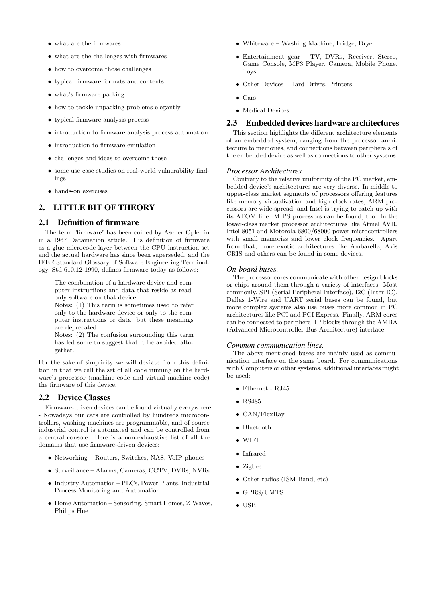- what are the firmwares
- what are the challenges with firmwares
- how to overcome those challenges
- typical firmware formats and contents
- what's firmware packing
- how to tackle unpacking problems elegantly
- typical firmware analysis process
- introduction to firmware analysis process automation
- introduction to firmware emulation
- challenges and ideas to overcome those
- some use case studies on real-world vulnerability findings
- hands-on exercises

### <span id="page-1-0"></span>2. LITTLE BIT OF THEORY

### 2.1 Definition of firmware

The term "firmware" has been coined by Ascher Opler in in a 1967 Datamation article. His definition of firmware as a glue microcode layer between the CPU instruction set and the actual hardware has since been superseded, and the IEEE Standard Glossary of Software Engineering Terminology, Std 610.12-1990, defines firmware today as follows:

The combination of a hardware device and computer instructions and data that reside as readonly software on that device.

Notes: (1) This term is sometimes used to refer only to the hardware device or only to the computer instructions or data, but these meanings are deprecated.

Notes: (2) The confusion surrounding this term has led some to suggest that it be avoided altogether.

For the sake of simplicity we will deviate from this definition in that we call the set of all code running on the hardware's processor (machine code and virtual machine code) the firmware of this device.

### 2.2 Device Classes

Firmware-driven devices can be found virtually everywhere - Nowadays our cars are controlled by hundreds microcontrollers, washing machines are programmable, and of course industrial control is automated and can be controlled from a central console. Here is a non-exhaustive list of all the domains that use firmware-driven devices:

- Networking Routers, Switches, NAS, VoIP phones
- Surveillance Alarms, Cameras, CCTV, DVRs, NVRs
- Industry Automation PLCs, Power Plants, Industrial Process Monitoring and Automation
- Home Automation Sensoring, Smart Homes, Z-Waves, Philips Hue
- Whiteware Washing Machine, Fridge, Dryer
- Entertainment gear TV, DVRs, Receiver, Stereo, Game Console, MP3 Player, Camera, Mobile Phone, Toys
- Other Devices Hard Drives, Printers
- Cars
- Medical Devices

### 2.3 Embedded devices hardware architectures

This section highlights the different architecture elements of an embedded system, ranging from the processor architecture to memories, and connections between peripherals of the embedded device as well as connections to other systems.

#### *Processor Architectures.*

Contrary to the relative uniformity of the PC market, embedded device's architectures are very diverse. In middle to upper-class market segments of processors offering features like memory virtualization and high clock rates, ARM processors are wide-spread, and Intel is trying to catch up with its ATOM line. MIPS processors can be found, too. In the lower-class market processor architectures like Atmel AVR, Intel 8051 and Motorola 6800/68000 power microcontrollers with small memories and lower clock frequencies. Apart from that, more exotic architectures like Ambarella, Axis CRIS and others can be found in some devices.

### *On-board buses.*

The processor cores communicate with other design blocks or chips around them through a variety of interfaces: Most commonly, SPI (Serial Peripheral Interface), I2C (Inter-IC), Dallas 1-Wire and UART serial buses can be found, but more complex systems also use buses more common in PC architectures like PCI and PCI Express. Finally, ARM cores can be connected to peripheral IP blocks through the AMBA (Advanced Microcontroller Bus Architecture) interface.

### *Common communication lines.*

The above-mentioned buses are mainly used as communication interface on the same board. For communications with Computers or other systems, additional interfaces might be used:

- Ethernet RJ45
- RS485
- CAN/FlexRay
- Bluetooth
- WIFI
- Infrared
- Zigbee
- Other radios (ISM-Band, etc)
- GPRS/UMTS
- USB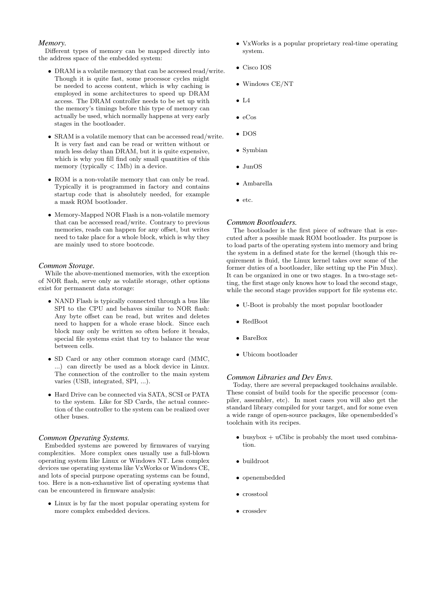### *Memory.*

Different types of memory can be mapped directly into the address space of the embedded system:

- DRAM is a volatile memory that can be accessed read/write. Though it is quite fast, some processor cycles might be needed to access content, which is why caching is employed in some architectures to speed up DRAM access. The DRAM controller needs to be set up with the memory's timings before this type of memory can actually be used, which normally happens at very early stages in the bootloader.
- SRAM is a volatile memory that can be accessed read/write. It is very fast and can be read or written without or much less delay than DRAM, but it is quite expensive, which is why you fill find only small quantities of this memory (typically < 1Mb) in a device.
- ROM is a non-volatile memory that can only be read. Typically it is programmed in factory and contains startup code that is absolutely needed, for example a mask ROM bootloader.
- Memory-Mapped NOR Flash is a non-volatile memory that can be accessed read/write. Contrary to previous memories, reads can happen for any offset, but writes need to take place for a whole block, which is why they are mainly used to store bootcode.

### *Common Storage.*

While the above-mentioned memories, with the exception of NOR flash, serve only as volatile storage, other options exist for permanent data storage:

- NAND Flash is typically connected through a bus like SPI to the CPU and behaves similar to NOR flash: Any byte offset can be read, but writes and deletes need to happen for a whole erase block. Since each block may only be written so often before it breaks, special file systems exist that try to balance the wear between cells.
- SD Card or any other common storage card (MMC, ...) can directly be used as a block device in Linux. The connection of the controller to the main system varies (USB, integrated, SPI, ...).
- Hard Drive can be connected via SATA, SCSI or PATA to the system. Like for SD Cards, the actual connection of the controller to the system can be realized over other buses.

#### *Common Operating Systems.*

Embedded systems are powered by firmwares of varying complexities. More complex ones usually use a full-blown operating system like Linux or Windows NT. Less complex devices use operating systems like VxWorks or Windows CE, and lots of special purpose operating systems can be found, too. Here is a non-exhaustive list of operating systems that can be encountered in firmware analysis:

• Linux is by far the most popular operating system for more complex embedded devices.

- VxWorks is a popular proprietary real-time operating system.
- Cisco IOS
- Windows CE/NT
- $\bullet$  L4
- $\bullet$  eCos
- DOS
- Symbian
- JunOS
- Ambarella
- etc.

### *Common Bootloaders.*

The bootloader is the first piece of software that is executed after a possible mask ROM bootloader. Its purpose is to load parts of the operating system into memory and bring the system in a defined state for the kernel (though this requirement is fluid, the Linux kernel takes over some of the former duties of a bootloader, like setting up the Pin Mux). It can be organized in one or two stages. In a two-stage setting, the first stage only knows how to load the second stage, while the second stage provides support for file systems etc.

- U-Boot is probably the most popular bootloader
- RedBoot
- BareBox
- Ubicom bootloader

#### *Common Libraries and Dev Envs.*

Today, there are several prepackaged toolchains available. These consist of build tools for the specific processor (compiler, assembler, etc). In most cases you will also get the standard library compiled for your target, and for some even a wide range of open-source packages, like openembedded's toolchain with its recipes.

- busybox  $+$  uClibc is probably the most used combination.
- buildroot
- openembedded
- crosstool
- crossdev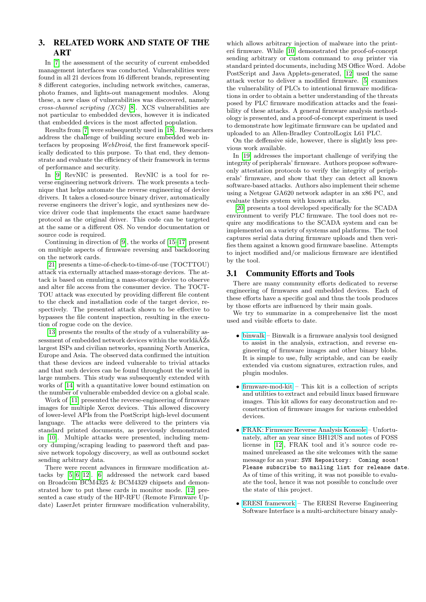# <span id="page-3-0"></span>3. RELATED WORK AND STATE OF THE **ART**

In [\[7\]](#page-8-0) the assessment of the security of current embedded management interfaces was conducted. Vulnerabilities were found in all 21 devices from 16 different brands, representing 8 different categories, including network switches, cameras, photo frames, and lights-out management modules. Along these, a new class of vulnerabilities was discovered, namely cross-channel scripting (XCS) [\[8\]](#page-8-1). XCS vulnerabilities are not particular to embedded devices, however it is indicated that embedded devices is the most affected population.

Results from [\[7\]](#page-8-0) were subsequently used in [\[18\]](#page-8-2). Researchers address the challenge of building secure embedded web interfaces by proposing WebDroid, the first framework specifically dedicated to this purpose. To that end, they demonstrate and evaluate the efficiency of their framework in terms of performance and security.

In [\[9\]](#page-8-3) RevNIC is presented. RevNIC is a tool for reverse engineering network drivers. The work presents a technique that helps automate the reverse engineering of device drivers. It takes a closed-source binary driver, automatically reverse engineers the driver's logic, and synthesizes new device driver code that implements the exact same hardware protocol as the original driver. This code can be targeted at the same or a different OS. No vendor documentation or source code is required.

Continuing in direction of [\[9\]](#page-8-3), the works of [\[15–](#page-8-4)[17\]](#page-8-5) present on multiple aspects of firmware reversing and backdooring on the network cards.

[\[21\]](#page-8-6) presents a time-of-check-to-time-of-use (TOCTTOU) attack via externally attached mass-storage devices. The attack is based on emulating a mass-storage device to observe and alter file access from the consumer device. The TOCT-TOU attack was executed by providing different file content to the check and installation code of the target device, respectively. The presented attack shown to be effective to bypasses the file content inspection, resulting in the execution of rogue code on the device.

[\[13\]](#page-8-7) presents the results of the study of a vulnerability assessment of embedded network devices within the world $\tilde{A}Z$ s largest ISPs and civilian networks, spanning North America, Europe and Asia. The observed data confirmed the intuition that these devices are indeed vulnerable to trivial attacks and that such devices can be found throughout the world in large numbers. This study was subsequently extended with works of [\[14\]](#page-8-8) with a quantitative lower bound estimation on the number of vulnerable embedded device on a global scale.

Work of [\[11\]](#page-8-9) presented the reverse-engineering of firmware images for multiple Xerox devices. This allowed discovery of lower-level APIs from the PostScript high-level document language. The attacks were delivered to the printers via standard printed documents, as previously demonstrated in [\[10\]](#page-8-10). Multiple attacks were presented, including memory dumping/scraping leading to password theft and passive network topology discovery, as well as outbound socket sending arbitrary data.

There were recent advances in firmware modification attacks by [\[5,](#page-8-11) [6,](#page-8-12) [12\]](#page-8-13). [\[6\]](#page-8-12) addressed the network card based on Broadcom BCM4325 & BCM4329 chipsets and demonstrated how to put these cards in monitor mode. [\[12\]](#page-8-13) presented a case study of the HP-RFU (Remote Firmware Update) LaserJet printer firmware modification vulnerability,

which allows arbitrary injection of malware into the print-ers firmware. While [\[10\]](#page-8-10) demonstrated the proof-of-concept sending arbitrary or custom command to any printer via standard printed documents, including MS Office Word. Adobe PostScript and Java Applets-generated, [\[12\]](#page-8-13) used the same attack vector to deliver a modified firmware. [\[5\]](#page-8-11) examines the vulnerability of PLCs to intentional firmware modifications in order to obtain a better understanding of the threats posed by PLC firmware modification attacks and the feasibility of these attacks. A general firmware analysis methodology is presented, and a proof-of-concept experiment is used to demonstrate how legitimate firmware can be updated and uploaded to an Allen-Bradley ControlLogix L61 PLC.

On the deffensive side, however, there is slightly less previous work available.

In [\[19\]](#page-8-14) addresses the important challenge of verifying the integrity of peripherals' firmware. Authors propose softwareonly attestation protocols to verify the integrity of peripherals' firmware, and show that they can detect all known software-based attacks. Authors also implement their scheme using a Netgear GA620 network adapter in an x86 PC, and evaluate theirs system with known attacks.

[\[20\]](#page-8-15) presents a tool developed specifically for the SCADA environment to verify PLC firmware. The tool does not require any modifications to the SCADA system and can be implemented on a variety of systems and platforms. The tool captures serial data during firmware uploads and then verifies them against a known good firmware baseline. Attempts to inject modified and/or malicious firmware are identified by the tool.

### 3.1 Community Efforts and Tools

There are many community efforts dedicated to reverse engineering of firmwares and embedded devices. Each of these efforts have a specific goal and thus the tools produces by those efforts are influenced by their main goals.

We try to summarize in a comprehensive list the most used and visible efforts to date.

- [binwalk](https://code.google.com/p/binwalk/) Binwalk is a firmware analysis tool designed to assist in the analysis, extraction, and reverse engineering of firmware images and other binary blobs. It is simple to use, fully scriptable, and can be easily extended via custom signatures, extraction rules, and plugin modules.
- [firmware-mod-kit](https://code.google.com/p/firmware-mod-kit/) This kit is a collection of scripts and utilities to extract and rebuild linux based firmware images. This kit allows for easy deconstruction and reconstruction of firmware images for various embedded devices.
- [FRAK: Firmware Reverse Analysis Konsole](http://frak.redballoonsecurity.com/) Unfortunately, after an year since BH12US and notes of FOSS license in [\[12\]](#page-8-13), FRAK tool and it's source code remained unreleased as the site welcomes with the same message for an year: SVN Repository: Coming soon! Please subscribe to mailing list for release date. As of time of this writing, it was not possible to evaluate the tool, hence it was not possible to conclude over the state of this project.
- [ERESI framework](http://www.eresi-project.org/) The ERESI Reverse Engineering Software Interface is a multi-architecture binary analy-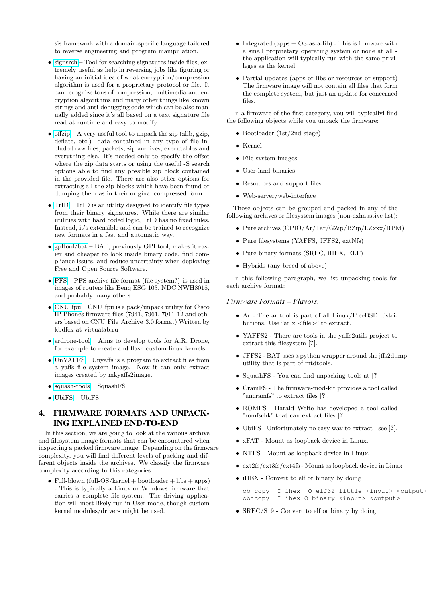sis framework with a domain-specific language tailored to reverse engineering and program manipulation.

- [signsrch](http://aluigi.altervista.org/mytoolz.htm) Tool for searching signatures inside files, extremely useful as help in reversing jobs like figuring or having an initial idea of what encryption/compression algorithm is used for a proprietary protocol or file. It can recognize tons of compression, multimedia and encryption algorithms and many other things like known strings and anti-debugging code which can be also manually added since it's all based on a text signature file read at runtime and easy to modify.
- [offzip](http://aluigi.altervista.org/mytoolz.htm) A very useful tool to unpack the zip (zlib, gzip, deflate, etc.) data contained in any type of file included raw files, packets, zip archives, executables and everything else. It's needed only to specify the offset where the zip data starts or using the useful -S search options able to find any possible zip block contained in the provided file. There are also other options for extracting all the zip blocks which have been found or dumping them as in their original compressed form.
- [TrID](http://mark0.net/soft-trid-e.html) TrID is an utility designed to identify file types from their binary signatures. While there are similar utilities with hard coded logic, TrID has no fixed rules. Instead, it's extensible and can be trained to recognize new formats in a fast and automatic way.
- [gpltool/bat](http://www.binary-analysis.com/) BAT, previously GPLtool, makes it easier and cheaper to look inside binary code, find compliance issues, and reduce uncertainty when deploying Free and Open Source Software.
- [PFS](http://cba.si/pfs/) PFS archive file format (file system?) is used in images of routers like Benq ESG 103, NDC NWH8018, and probably many others.
- $CNU_fpu CNU_fpu$  $CNU_fpu CNU_fpu$  is a pack/unpack utility for Cisco IP Phones firmware files (7941, 7961, 7911-12 and others based on CNU File Archive 3.0 format) Written by kbdfck at virtualab.ru
- $\bullet$  [ardrone-tool](http://code.google.com/p/ardrone-tool/) Aims to develop tools for A.R. Drone, for example to create and flash custom linux kernels.
- [UnYAFFS](https://github.com/ehlers/unyaffs) Unyaffs is a program to extract files from a yaffs file system image. Now it can only extract images created by mkyaffs2image.
- [squash-tools](https://github.com/wereHamster/squashfs/tree/master/squashfs-tools) SquashFS
- [UbiFS](http://www.linux-mtd.infradead.org/faq/ubifs.html) UbiFS

# <span id="page-4-0"></span>4. FIRMWARE FORMATS AND UNPACK-ING EXPLAINED END-TO-END

In this section, we are going to look at the various archive and filesystem image formats that can be encountered when inspecting a packed firmware image. Depending on the firmware complexity, you will find different levels of packing and different objects inside the archives. We classify the firmware complexity according to this categories:

• Full-blown (full-OS/kernel + bootloader + libs + apps) - This is typically a Linux or Windows firmware that carries a complete file system. The driving application will most likely run in User mode, though custom kernel modules/drivers might be used.

- Integrated  $($ apps  $+$  OS-as-a-lib $)$  This is firmware with a small proprietary operating system or none at all the application will typically run with the same privileges as the kernel.
- Partial updates (apps or libs or resources or support) The firmware image will not contain all files that form the complete system, but just an update for concerned files.

In a firmware of the first category, you will typicallyl find the following objects while you unpack the firmware:

- Bootloader (1st/2nd stage)
- Kernel
- File-system images
- User-land binaries
- Resources and support files
- Web-server/web-interface

Those objects can be grouped and packed in any of the following archives or filesystem images (non-exhaustive list):

- Pure archives (CPIO/Ar/Tar/GZip/BZip/LZxxx/RPM)
- Pure filesystems (YAFFS, JFFS2, extNfs)
- Pure binary formats (SREC, iHEX, ELF)
- Hybrids (any breed of above)

In this following paragraph, we list unpacking tools for each archive format:

### *Firmware Formats – Flavors.*

- Ar The ar tool is part of all Linux/FreeBSD distributions. Use "ar  $x \leq \text{file}$ " to extract.
- YAFFS2 There are tools in the yaffs2utils project to extract this filesystem [?].
- JFFS2 BAT uses a python wrapper around the jffs2dump utility that is part of mtdtools.
- SquashFS You can find unpacking tools at [?]
- CramFS The firmware-mod-kit provides a tool called "uncramfs" to extract files [?].
- ROMFS Harald Welte has developed a tool called "romfschk" that can extract files [?].
- UbiFS Unfortunately no easy way to extract see [?].
- xFAT Mount as loopback device in Linux.
- NTFS Mount as loopback device in Linux.
- ext2fs/ext3fs/ext4fs Mount as loopback device in Linux
- iHEX Convert to elf or binary by doing

objcopy -I ihex -O elf32-little <input> <output> objcopy -I ihex-O binary <input> <output>

• SREC/S19 - Convert to elf or binary by doing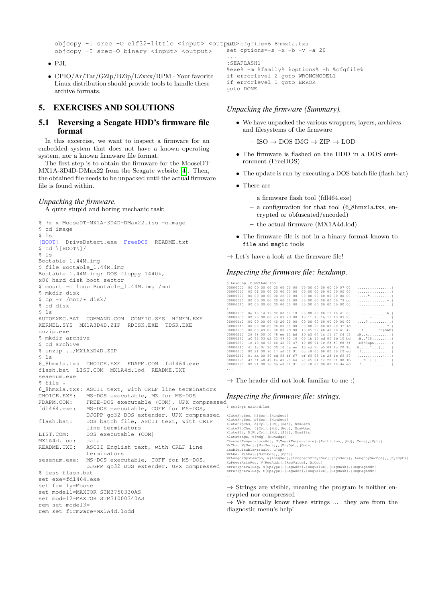```
objcopy -I srec -O elf32-little <input> <outpatt>cfgfile=6_8hmx1a.txs
objcopy -I srec-O binary <input> <output>
                                               set options=-s -x -b -v -a 20
```
- PJL
- CPIO/Ar/Tar/GZip/BZip/LZxxx/RPM Your favorite Linux distribution should provide tools to handle these archive formats.

# <span id="page-5-0"></span>5. EXERCISES AND SOLUTIONS

### 5.1 Reversing a Seagate HDD's firmware file format

In this excercise, we want to inspect a firmware for an embedded system that does not have a known operating system, nor a known firmware file format.

The first step is to obtain the firmware for the MooseDT MX1A-3D4D-DMax22 from the Seagate website [\[4\]](#page-8-16). Then, the obtained file needs to be unpacked until the actual firmware file is found within.

### *Unpacking the firmware.*

A quite stupid and boring mechanic task:

```
$ 7z x MooseDT-MX1A-3D4D-DMax22.iso -oimage
$ cd image
$ 1s[BOOT] DriveDetect.exe FreeDOS README.txt
$ cd \[BOOT\]/
$ 1sBootable_1.44M.img
$ file Bootable 1.44M.img
Bootable_1.44M.img: DOS floppy 1440k,
x86 hard disk boot sector
$ mount -o loop Bootable_1.44M.img /mnt
$ mkdir disk
$ cp -r /mnt/* disk/
$ cd disk
S<sub>1s</sub>AUTOEXEC.BAT COMMAND.COM CONFIG.SYS HIMEM.EXE
KERNEL.SYS MX1A3D4D.ZIP RDISK.EXE TDSK.EXE
unzip.exe
$ mkdir archive
$ cd archive
$ unzip ../MX1A3D4D.ZIP
$ 1s6_8hmx1a.txs CHOICE.EXE FDAPM.COM fdl464.exe
flash.bat LIST.COM MX1A4d.lod README.TXT
seaenum.exe
$ file *
6_8hmx1a.txs: ASCII text, with CRLF line terminators
CHOICE.EXE: MS-DOS executable, MZ for MS-DOS
FDAPM.COM: FREE-DOS executable (COM), UPX compressed
fdl464.exe: MS-DOS executable, COFF for MS-DOS,
             DJGPP go32 DOS extender, UPX compressed
flash.bat: DOS batch file, ASCII text, with CRLF
             line terminators
LIST.COM: DOS executable (COM)
MX1A4d.lod: data
README.TXT: ASCII English text, with CRLF line
              terminators
seaenum.exe: MS-DOS executable, COFF for MS-DOS,
             DJGPP go32 DOS extender, UPX compressed
$ less flash.bat
set exe=fdl464.exe
set family=Moose
set model1=MAXTOR STM3750330AS
set model2=MAXTOR STM31000340AS
rem set model3=
rem set firmware=MX1A4d.lodd
```

```
...
:SEAFLASH1
%exe% -m %family% %options% -h %cfgfile%
if errorlevel 2 goto WRONGMODEL1
if errorlevel 1 goto ERROR
goto DONE
```
### *Unpacking the firmware (Summary).*

• We have unpacked the various wrappers, layers, archives and filesystems of the firmware

 $-$  ISO  $\rightarrow$  DOS IMG  $\rightarrow$  ZIP  $\rightarrow$  LOD

- The firmware is flashed on the HDD in a DOS environment (FreeDOS)
- The update is run by executing a DOS batch file (flash.bat)
- There are
	- a firmware flash tool (fdl464.exe)
	- a configuration for that tool (6 8hmx1a.txs, en-
	- crypted or obfuscated/encoded)
	- the actual firmware (MX1A4d.lod)
- The firmware file is not in a binary format known to file and magic tools
- $\rightarrow$  Let's have a look at the firmware file!

### *Inspecting the firmware file: hexdump.*

\$ hexdump -C MX1A4d.lod 00000000 00 00 00 00 00 00 00 00 00 00 00 00 00 00 07 00 |................| 00000010 80 01 00 00 00 00 00 00 00 00 00 00 00 00 00 00 |................| 00000020 00 00 00 00 00 22 00 00 00 00 00 00 00 00 00 00 |....."..........| 00000030 00 00 00 00 00 00 00 00 00 00 00 00 00 00 79 dc |..............y.| 00000040 00 00 00 00 00 00 00 00 00 00 00 00 00 00 00 00 |................| \* 000001c0 0e 10 14 13 02 00 03 10 00 00 00 00 ff 10 41 00 |..............A.| 000001d0 00 20 00 00 ad 03 2d 00 13 11 15 16 11 13 07 20 |. ....-........ | 000001e0 00 00 00 00 40 20 00 00 00 00 00 00 00 00 00 00 |....@ ..........| 000001f0 00 00 00 00 00 00 00 00 00 00 00 00 00 00 3f 1d |..............?.| 00000200 00 c0 49 00 00 00 2d 00 10 b5 27 48 40 68 41 42 |..I...-...'H@hAB| 00000210 26 48 00 f0 78 ee 10 bd 10 b5 04 1c ff f7 f4 ff |&H..x...........| 00000220 a0 42 03 d2 22 49 40 18 00 1b 10 bd 00 1b 10 bd |.B.."I@.........| 00000230 1d 48 40 68 40 42 70 47 10 b5 01 1c ff f7 f8 ff |.H@h@BpG........| 00000240 41 1a 0f 20 00 f0 5e ee 10 bd 7c b5 04 1c 20 1c |A.. ..^...|... .| 00000250 00 21 00 90 17 a0 01 91 0c c8 00 98 00 f0 f2 ed |.!..............| 00000260 01 da 00 f0 ed ff ff f7 cf ff 05 1c 28 1c ff f7 |............(...| 00000270 d3 ff a0 42 fa d3 7c bd 7c b5 04 1c 20 01 00 1b |...B..|.|... ...|<br>00000280 00 21 00 90 0b a0 01 91 0c c8 00 98 00 f0 da ed |.!..............|

 $\rightarrow$  The header did not look familiar to me : (

### *Inspecting the firmware file: strings.*

...

.<br>\$ strings MX1A4d lod ... XlatePhySec, h[Sec],[NumSecs] XlatePhySec, p[Sec], [NumSecs]<br>XlatePhyChs, d[Cyl],[Hd],[Sec],[NumSecs]<br>XlatePlpChs, d[Cyl],[Hd],[Sec],[NumMdgs]<br>XlateSfi, D[PhyCyl],[Hd],[Sfi],[NumMdgs]<br>XlateMedge, t[Mdg],[NumMdgs]<br>XlateMedge, t[Mdg],[NumMdgs]<br>ChannelTem WrLongOrSystemChs, w[LongSec],[LongSecsOrSysSec],[SysSecs],[LongPhySecOpt],,[SysOpts]<br>RwPowerAsicReg, V[RegAddr],[RegValue],[WrOpt]<br>WrPeripheralReg, s[OpType],[RegAddr],[RegValue],[RegMask],[RegPagAddr]<br>WrPeripheralReg, t[

 $\rightarrow$  Strings are visible, meaning the program is neither encrypted nor compressed

 $\rightarrow$  We actually know these strings ... they are from the diagnostic menu's help!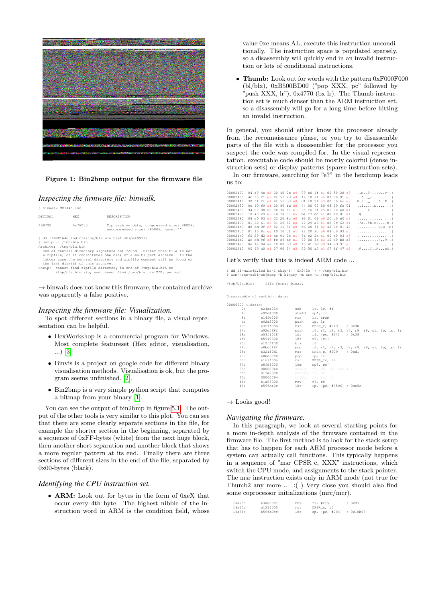

#### Figure 1: Bin2bmp output for the firmware file

### *Inspecting the firmware file: binwalk.*

\$ binwalk MX1A4d.lod

| DECTMAL.                                          | <b>HEX</b>                        | DESCRIPTION                                                                                                                                                                                                                                                                                                                                                                                                       |
|---------------------------------------------------|-----------------------------------|-------------------------------------------------------------------------------------------------------------------------------------------------------------------------------------------------------------------------------------------------------------------------------------------------------------------------------------------------------------------------------------------------------------------|
| 499792                                            | 0x7A050                           | Zip archive data, compressed size: 48028,<br>uncompressed size: 785886, name: ""                                                                                                                                                                                                                                                                                                                                  |
| \$ unzip -1 /tmp/bla.bin<br>Archive: /tmp/bla.bin | the last disk(s) of this archive. | \$ dd if=MX1A4d.lod of=/tmp/bla.bin bs=1 skip=499792<br>End-of-central-directory signature not found. Either this file is not<br>a zipfile, or it constitutes one disk of a multi-part archive. In the<br>latter case the central directory and zipfile comment will be found on<br>unzip: cannot find zipfile directory in one of /tmp/bla.bin or<br>/tmp/bla.bin.zip, and cannot find /tmp/bla.bin.ZIP, period. |

 $\rightarrow$  binwalk does not know this firmware, the contained archive was apparently a false positive.

#### *Inspecting the firmware file: Visualization.*

<span id="page-6-0"></span>To spot different sections in a binary file, a visual representation can be helpful.

- HexWorkshop is a commercial program for Windows. Most complete featureset (Hex editor, visualisation, ...) [\[3\]](#page-8-17)
- Binvis is a project on google code for different binary visualisation methods. Visualisation is ok, but the program seems unfinished. [\[2\]](#page-8-18).
- Bin2bmp is a very simple python script that computes a bitmap from your binary [\[1\]](#page-8-19).

You can see the output of bin2bmp in figure [5.1.](#page-6-0) The output of the other tools is very similar to this plot. You can see that there are some clearly separate sections in the file, for example the shorter section in the beginning, separated by a sequence of 0xFF-bytes (white) from the next huge block, then another short separation and another block that shows a more regular pattern at its end. Finally there are three sections of different sizes in the end of the file, separated by 0x00-bytes (black).

### *Identifying the CPU instruction set.*

• ARM: Look out for bytes in the form of 0xeX that occur every 4th byte. The highest nibble of the instruction word in ARM is the condition field, whose value 0xe means AL, execute this instruction unconditionally. The instruction space is populated sparsely, so a disassembly will quickly end in an invalid instruction or lots of conditional instructions.

• Thumb: Look out for words with the pattern 0xF000F000 (bl/blx), 0xB500BD00 ("pop XXX, pc" followed by "push XXX, lr"), 0x4770 (bx lr). The Thumb instruction set is much denser than the ARM instruction set, so a disassembly will go for a long time before hitting an invalid instruction.

In general, you should either know the processor already from the reconnaissance phase, or you try to disassemble parts of the file with a disassembler for the processor you suspect the code was compiled for. In the visual representation, executable code should be mostly colorful (dense instruction sets) or display patterns (sparse instruction sets).

In our firmware, searching for "e?" in the hexdump leads us to:

| 00002420 | $04 \neq 0$ $4 \neq 2$ $00$ $40$ $2d \neq 9$ |  |  |  |  |  |  | 00 e0 4f el 00 50 2d e9        | $1.0001.09 - 0.0001.09 - 0.0001$                                                                            |
|----------|----------------------------------------------|--|--|--|--|--|--|--------------------------------|-------------------------------------------------------------------------------------------------------------|
| 00002430 | db f0 21 e3 8f 5f 2d e9                      |  |  |  |  |  |  | 18 10 9f e5 00 00 91 e5        | $   -$                                                                                                      |
| 00002440 | 30 ff 2f el 8f 5f bd e8                      |  |  |  |  |  |  | dl f0 21 e3 00 50 bd e8        | 0.7.1.1.1.1.1.1.1.1                                                                                         |
| 00002450 | 0e f0 69 e1 00 80 fd e8                      |  |  |  |  |  |  | 44 00 00 00 08 20 fe 01        | 1.1.1.1.1.0.1.1.1.1                                                                                         |
| 00002460 | 94 00 00 00 00 30 a0 e1                      |  |  |  |  |  |  | Oc ce 9f e5 01 00 a0 el        | <u>1. 0. 1</u>                                                                                              |
| 00002470 | 10 40 2d e9 14 10 93 e5                      |  |  |  |  |  |  | be c3 dc el d0 10 dl el        |                                                                                                             |
| 00002480 | $08 - 90$ 93 $-5$ 02 20 $8$ c $-0$           |  |  |  |  |  |  | 92,01,01,00,20,00,00,03        | <u>1. 1</u>                                                                                                 |
| 00002490 | 81 22 61 e0 01 25 62 e0                      |  |  |  |  |  |  | 42 29 a0 el 82 0c 62 el        | $ .\,".a. .$ \$b.B)b.                                                                                       |
| 000024a0 | d8 cd 9f e5 82 11 81 e0                      |  |  |  |  |  |  | c6, 20, 51, 22, 42, 20, 81, 42 | $ 0.B.$ . B                                                                                                 |
| 000024b0 | 81 10 8c e0 f0 10 d1 e1                      |  |  |  |  |  |  | 82 20 8c e0 04 c0 93 e5        | <u>1. 1</u>                                                                                                 |
| 000024c0 | $f0$ 20 d2 e1 ac 01 2c e1                    |  |  |  |  |  |  | 8e c2 2c el 00 c0 83 e5        |                                                                                                             |
| 000024d0 | ac cd 9f e5 fc c9 dc el                      |  |  |  |  |  |  | 00 00 5c e3 10 40 bd a8        |                                                                                                             |
| 000024e0 | 8e 1a 04 aa 10 80 bd e8                      |  |  |  |  |  |  | f0 41 2d e9 94 7d 9f e5        | $1. A =$                                                                                                    |
| 000024f0 | 80 40 a0 e1 07 00 54 e3                      |  |  |  |  |  |  | 00 50 a0 e1 f7 6f 47 e2        | $ .\,$ $ .\,$ $ .\,$ $\ldots$ $\text{T}.\,$ $\ldots$ $\text{P}.\,$ $\ldots$ $\text{O}$ $\text{G}.\,$ $ .\,$ |
|          |                                              |  |  |  |  |  |  |                                |                                                                                                             |

#### Let's verify that this is indeed ARM code ...

\$ dd if=MX1A4d.lod bs=1 skip=\$(( 0x2420 )) > /tmp/bla.bin \$ arm-none-eabi-objdump -b binary -m arm -D /tmp/bla.bin

/tmp/bla.bin: file format binary

 $00($ 

| Disassembly of section .data: |  |
|-------------------------------|--|

| 00000 <.data>: |          |       |                                                 |
|----------------|----------|-------|-------------------------------------------------|
| 0:             | e24ee004 |       | sub lr, 1r, #4                                  |
| 4 :            | e92d4000 | stmfd | sp!, lr                                         |
| 8:             | e14fe000 | mrs   | lr, SPSR                                        |
| C:             | e92d5000 | push  | ip, 1r                                          |
| 10:            | e321f0db | msr   | CPSR $c, #219$ ; 0xdb                           |
| 14:            | e92d5f8f |       | push r0, r1, r2, r3, r7, r8, r9, s1, fp, ip, 1r |
| 18:            | e59f1018 |       | 1dr r1, [pc, #24] ; 0x38                        |
| 1c:            | e5910000 | ldr   | $r0,$ [ $r1$ ]                                  |
| 20:            | el2fff30 | blx   | r0                                              |
| 24:            | e8bd5f8f | pop   | r0, r1, r2, r3, r7, r8, r9, s1, fp, ip, 1r      |
| 28:            | e321f0dl | msr   | CPSR c, #209 ; 0xdl                             |
| 2c:            | e8bd5000 | pop   | ip, 1r                                          |
| 30:            | e169f00e | msr   | SPSR fc, 1r                                     |
| 34:            | e8fd8000 | 1 dm  | sp!, pc^                                        |
| 38:            | 00000044 |       | andeq $r0$ , $r0$ , $r4$ , $asr$ #32            |
| 3c:            | 01fe2008 |       | mynseg r2, r8                                   |
| 40:            | 00000094 |       | muled r0, r4, r0                                |
| 44:            | ela03000 |       | mov r3, r0                                      |
| 48:            | e59fce0c | ldr   | ip, [pc, #3596] ; 0xe5c                         |
|                |          |       |                                                 |

#### $\rightarrow$  Looks good!

### *Navigating the firmware.*

In this paragraph, we look at several starting points for a more in-depth analysis of the firmware contained in the firmware file. The first method is to look for the stack setup that has to happen for each ARM processor mode before a system can actually call functions. This typically happens in a sequence of "msr CPSR<sub>-C</sub>, XXX" instructions, which switch the CPU mode, and assignments to the stack pointer. The msr instruction exists only in ARM mode (not true for Thumb2 any more ... :( ) Very close you should also find some coprocessor initializations (mrc/mcr).

| 18a2c: | e3a000d7 | mov | $r0.$ #215     | : 0xd7    |
|--------|----------|-----|----------------|-----------|
| 18a30: | e121f000 | msr | CPSR c. r0     |           |
| 18a34: | e59fd0cc | ldr | sp, [pc, #204] | : 0x18b08 |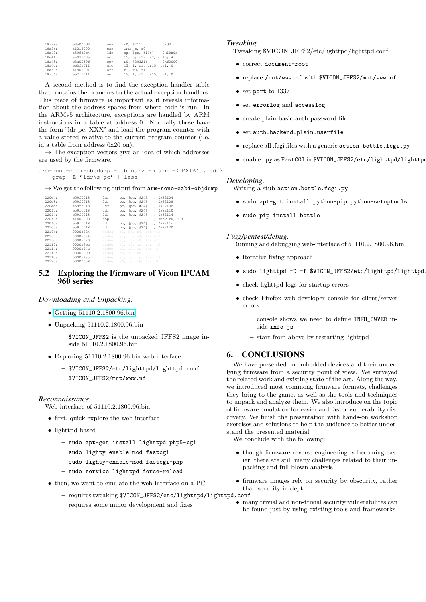| 18a38: | e3a000d3 | mov | $r0.$ #211               | : 0xd3 |
|--------|----------|-----|--------------------------|--------|
| 18a3c: | e121f000 | msr | CPSR c. r0               |        |
| 18a40: | e59fd0c4 | ldr | sp, [pc, #196] ; 0x18b0c |        |
| 18a44: | ee071f9a | mcr | 15. 0. rl. cr7. cr10. 4  |        |
| 18a48: | e3a00806 | mov | r0, #393216 : 0x60000    |        |
| 18a4c: | ee3f1f11 | mrc | 15, 1, r1, cr15, cr1, 0  |        |
| 18a50: | e1801001 | orr | rl. r0. r1               |        |
| 18a54: | ee2f1f11 | mcr | 15, 1, r1, cr15, cr1, 0  |        |
|        |          |     |                          |        |

A second method is to find the exception handler table that contains the branches to the actual exception handlers. This piece of firmware is important as it reveals information about the address spaces from where code is run. In the ARMv5 architecture, exceptions are handled by ARM instructions in a table at address 0. Normally these have the form "ldr pc, XXX" and load the program counter with a value stored relative to the current program counter (i.e. in a table from address 0x20 on).

 $\rightarrow$  The exception vectors give an idea of which addresses are used by the firmware.

```
arm-none-eabi-objdump -b binary -m arm -D MX1A4d.lod \
  | grep -E 'ldr\s+pc' | less
```
 $\rightarrow$  We get the following output from  $arm$ -none-eabi-objdump

| 22004: | e59ff018 | ldr   | pc, [pc, #24]   |                     | : 0x22104    |
|--------|----------|-------|-----------------|---------------------|--------------|
| 220e8: | e59ff018 | ldr   | pc, [pc, #24]   |                     | : 0x22108    |
| 220ec: | e59ff018 | ldr   | pc, [pc, #24]   |                     | : 0x2210c    |
| 220f0: | e59ff018 | ldr   | pc, [pc, #24]   |                     | : 0x22110    |
| 220f4: | e59ff018 | ldr   | pc, $ pc, #24 $ |                     | : 0x22114    |
| 220f8: | ela00000 | nop   |                 |                     | (mov r0, r0) |
| 220fc: | e59ff018 | ldr   |                 | pc, [pc, #24]       | : 0x2211c    |
| 22100: | e59ff018 | ldr   |                 | pc, [pc, #24]       | : 0x22120    |
| 22104: | 0000a824 | andeg |                 | sl, r0, r4, 1sr #16 |              |
| 22108: | 0000a8a4 | andeg |                 | sl, r0, r4, 1sr #17 |              |
| 2210c: | 0000a828 | andeg |                 | sl, r0, r8, 1sr #16 |              |
| 22110: | 0000a7ec | andeg |                 | sl, r0, ip, ror #15 |              |
| 22114: | 0000a44c | andeg |                 | sl, r0, ip, asr #8  |              |
| 22118: | 00000000 | andeg | r0. r0. r0      |                     |              |
| 2211c: | 0000a6ac | andeg |                 | sl, r0, ip, 1sr #13 |              |
| 22120: | 00000058 | andeg |                 | r0, r0, r8, asr r0  |              |

### 5.2 Exploring the Firmware of Vicon IPCAM 960 series

### *Downloading and Unpacking.*

- [Getting 51110.2.1800.96.bin](http://)
- Unpacking 51110.2.1800.96.bin
	- \$VICON\_JFFS2 is the unpacked JFFS2 image inside 51110.2.1800.96.bin
- Exploring 51110.2.1800.96.bin web-interface
	- \$VICON\_JFFS2/etc/lighttpd/lighttpd.conf
	- \$VICON\_JFFS2/mnt/www.nf

### *Reconnaissance.*

Web-interface of 51110.2.1800.96.bin

- first, quick-explore the web-interface
- lighttpd-based
	- sudo apt-get install lighttpd php5-cgi
	- sudo lighty-enable-mod fastcgi
	- sudo lighty-enable-mod fastcgi-php
	- sudo service lighttpd force-reload
- then, we want to emulate the web-interface on a PC
	- requires tweaking \$VICON\_JFFS2/etc/lighttpd/lighttpd.conf
	- requires some minor development and fixes

#### *Tweaking.*

Tweaking \$VICON JFFS2/etc/lighttpd/lighttpd.conf

- correct document-root
- replace /mnt/www.nf with \$VICON\_JFFS2/mnt/www.nf
- set port to 1337
- set errorlog and accesslog
- create plain basic-auth password file
- set auth.backend.plain.userfile
- replace all .fcgi files with a generic action.bottle.fcgi.py
- $\bullet$  enable .py as FastCGI in  $VICON_JFFS2/etc/Iighttpd/Iighttp$

#### *Developing.*

Writing a stub action.bottle.fcgi.py

- sudo apt-get install python-pip python-setuptools
- sudo pip install bottle

#### *Fuzz/pentest/debug.*

Running and debugging web-interface of 51110.2.1800.96.bin

- iterative-fixing approach
- sudo lighttpd -D -f \$VICON JFFS2/etc/lighttpd/lighttpd
- check lighttpd logs for startup errors
- check Firefox web-developer console for client/server errors
	- console shows we need to define INFO\_SWVER inside info. is
	- start from above by restarting lighttpd

### <span id="page-7-0"></span>6. CONCLUSIONS

We have presented on embedded devices and their underlying firmware from a security point of view. We surveyed the related work and existing state of the art. Along the way, we introduced most commong firmware formats, challenges they bring to the game, as well as the tools and techniques to unpack and analyze them. We also introduce on the topic of firmware emulation for easier and faster vulnerability discovery. We finish the presentation with hands-on workshop exercises and solutions to help the audience to better understand the presented material.

We conclude with the following:

- though firmware reverse engineering is becoming easier, there are still many challenges related to their unpacking and full-blown analysis
- firmware images rely on security by obscurity, rather than security in-depth
- many trivial and non-trivial security vulnerabilites can be found just by using existing tools and frameworks